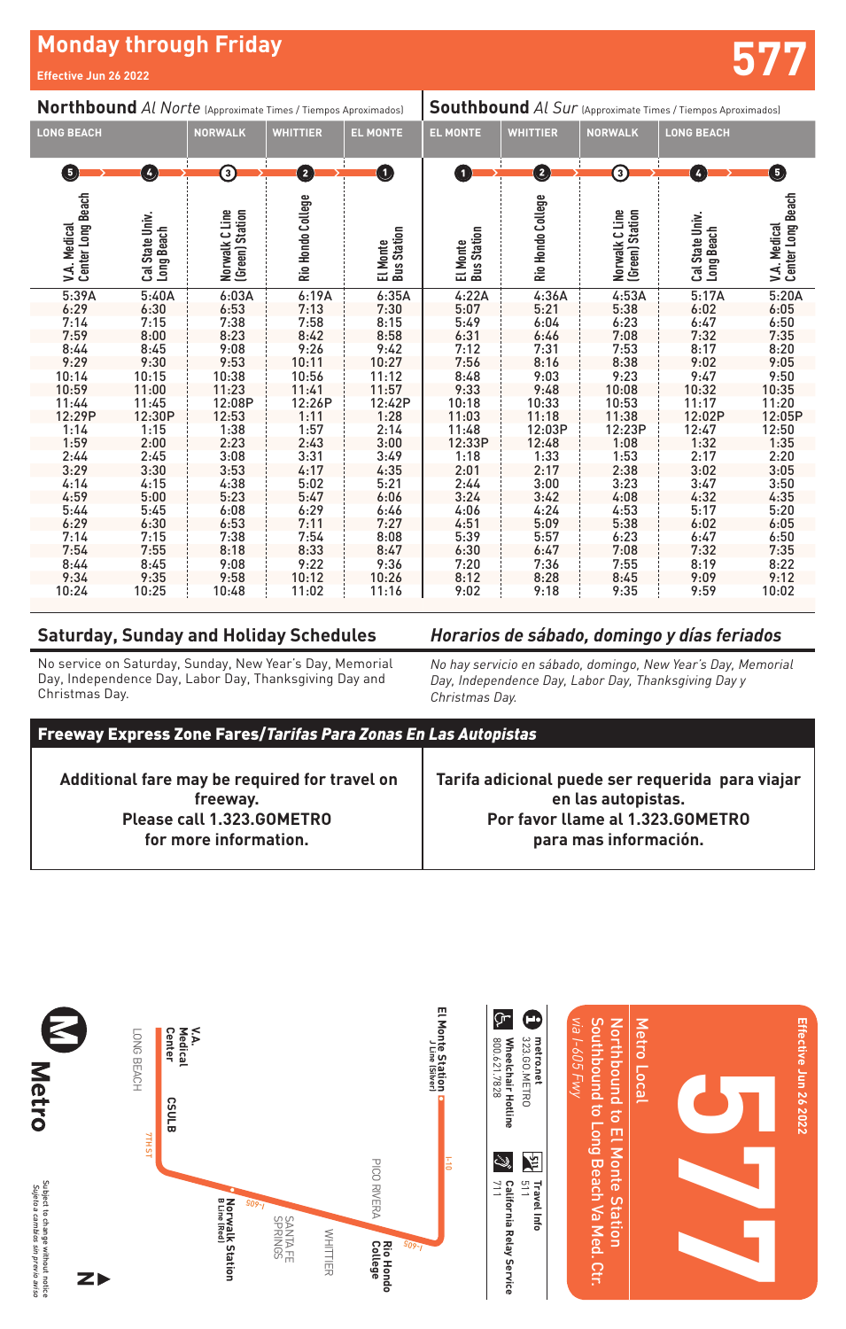## **Monday through Friday Effective Jun 26 2022 577**

| Northbound Al Norte (Approximate Times / Tiempos Aproximados)                                                              |                                                                                                                            |                                                                                                                    |                                                                                                                            |                                                                                                                            | <b>Southbound</b> Al Sur (Approximate Times / Tiempos Aproximados)                                                         |                                                                                                                    |                                                                                                                    |                                                                                                                            |                                                                                                                            |
|----------------------------------------------------------------------------------------------------------------------------|----------------------------------------------------------------------------------------------------------------------------|--------------------------------------------------------------------------------------------------------------------|----------------------------------------------------------------------------------------------------------------------------|----------------------------------------------------------------------------------------------------------------------------|----------------------------------------------------------------------------------------------------------------------------|--------------------------------------------------------------------------------------------------------------------|--------------------------------------------------------------------------------------------------------------------|----------------------------------------------------------------------------------------------------------------------------|----------------------------------------------------------------------------------------------------------------------------|
| <b>LONG BEACH</b>                                                                                                          |                                                                                                                            | <b>NORWALK</b>                                                                                                     | <b>WHITTIER</b>                                                                                                            | <b>EL MONTE</b>                                                                                                            | <b>EL MONTE</b>                                                                                                            | <b>WHITTIER</b>                                                                                                    | <b>NORWALK</b>                                                                                                     | <b>LONG BEACH</b>                                                                                                          |                                                                                                                            |
| G                                                                                                                          | Ø                                                                                                                          | 3)                                                                                                                 | 0                                                                                                                          | O                                                                                                                          | O                                                                                                                          | $\mathbf 2$                                                                                                        | 3)                                                                                                                 | $\left  \mathbf{r} \right $                                                                                                | 6                                                                                                                          |
| Center Long Beach<br>V.A. Medical                                                                                          | Cal State Univ.<br>Long Beach                                                                                              | Norwalk C Line<br>(Green) Station                                                                                  | Rio Hondo College                                                                                                          | <b>Bus Station</b><br>El Monte                                                                                             | <b>Bus Station</b><br>El Monte                                                                                             | Rio Hondo College                                                                                                  | Norwalk C Line<br>(Green) Station                                                                                  | Cal State Univ.<br>Long Beach                                                                                              | Center Long Beach<br>V.A. Medical                                                                                          |
| 5:39A<br>6:29<br>7:14<br>7:59<br>8:44<br>9:29<br>10:14<br>10:59<br>11:44<br>12:29P<br>1:14<br>1:59<br>2:44<br>3:29<br>4:14 | 5:40A<br>6:30<br>7:15<br>8:00<br>8:45<br>9:30<br>10:15<br>11:00<br>11:45<br>12:30P<br>1:15<br>2:00<br>2:45<br>3:30<br>4:15 | 6:03A<br>6:53<br>7:38<br>8:23<br>9:08<br>9:53<br>10:38<br>11:23<br>12:08P<br>12:53<br>1:38<br>2:23<br>3:08<br>3:53 | 6:19A<br>7:13<br>7:58<br>8:42<br>9:26<br>10:11<br>10:56<br>11:41<br>12:26P<br>1:11<br>1:57<br>2:43<br>3:31<br>4:17<br>5:02 | 6:35A<br>7:30<br>8:15<br>8:58<br>9:42<br>10:27<br>11:12<br>11:57<br>12:42P<br>1:28<br>2:14<br>3:00<br>3:49<br>4:35<br>5:21 | 4:22A<br>5:07<br>5:49<br>6:31<br>7:12<br>7:56<br>8:48<br>9:33<br>10:18<br>11:03<br>11:48<br>12:33P<br>1:18<br>2:01<br>2:44 | 4:36A<br>5:21<br>6:04<br>6:46<br>7:31<br>8:16<br>9:03<br>9:48<br>10:33<br>11:18<br>12:03P<br>12:48<br>1:33<br>2:17 | 4:53A<br>5:38<br>6:23<br>7:08<br>7:53<br>8:38<br>9:23<br>10:08<br>10:53<br>11:38<br>12:23P<br>1:08<br>1:53<br>2:38 | 5:17A<br>6:02<br>6:47<br>7:32<br>8:17<br>9:02<br>9:47<br>10:32<br>11:17<br>12:02P<br>12:47<br>1:32<br>2:17<br>3:02<br>3:47 | 5:20A<br>6:05<br>6:50<br>7:35<br>8:20<br>9:05<br>9:50<br>10:35<br>11:20<br>12:05P<br>12:50<br>1:35<br>2:20<br>3:05<br>3:50 |
| 4:59<br>5:44<br>6:29<br>7:14<br>7:54<br>8:44<br>9:34<br>10:24                                                              | 5:00<br>5:45<br>6:30<br>7:15<br>7:55<br>8:45<br>9:35<br>10:25                                                              | 4:38<br>5:23<br>6:08<br>6:53<br>7:38<br>8:18<br>9:08<br>9:58<br>10:48                                              | 5:47<br>6:29<br>7:11<br>7:54<br>8:33<br>9:22<br>10:12<br>11:02                                                             | 6:06<br>6:46<br>7:27<br>8:08<br>8:47<br>9:36<br>10:26<br>11:16                                                             | 3:24<br>4:06<br>4:51<br>5:39<br>6:30<br>7:20<br>8:12<br>9:02                                                               | 3:00<br>3:42<br>4:24<br>5:09<br>5:57<br>6:47<br>7:36<br>8:28<br>9:18                                               | 3:23<br>4:08<br>4:53<br>5:38<br>6:23<br>7:08<br>7:55<br>8:45<br>9:35                                               | 4:32<br>5:17<br>6:02<br>6:47<br>7:32<br>8:19<br>9:09<br>9:59                                                               | 4:35<br>5:20<br>6:05<br>6:50<br>7:35<br>8:22<br>9:12<br>10:02                                                              |

## **Saturday, Sunday and Holiday Schedules**

No service on Saturday, Sunday, New Year's Day, Memorial Day, Independence Day, Labor Day, Thanksgiving Day and Christmas Day.

*Horarios de sábado, domingo y días feriados*

*No hay servicio en sábado, domingo, New Year's Day, Memorial Day, Independence Day, Labor Day, Thanksgiving Day y Christmas Day.*

| <b>Freeway Express Zone Fares/Tarifas Para Zonas En Las Autopistas</b>                  |  |  |  |  |  |  |  |  |
|-----------------------------------------------------------------------------------------|--|--|--|--|--|--|--|--|
| Additional fare may be required for travel on Farita adjoinal nucle car requestion para |  |  |  |  |  |  |  |  |

 **Additional fare may be required for travel on freeway. Please call 1.323.GOMETRO for more information.**

**Tarifa adicional puede ser requerida para viajar en las autopistas. Por favor llame al 1.323.GOMETRO para mas información.**